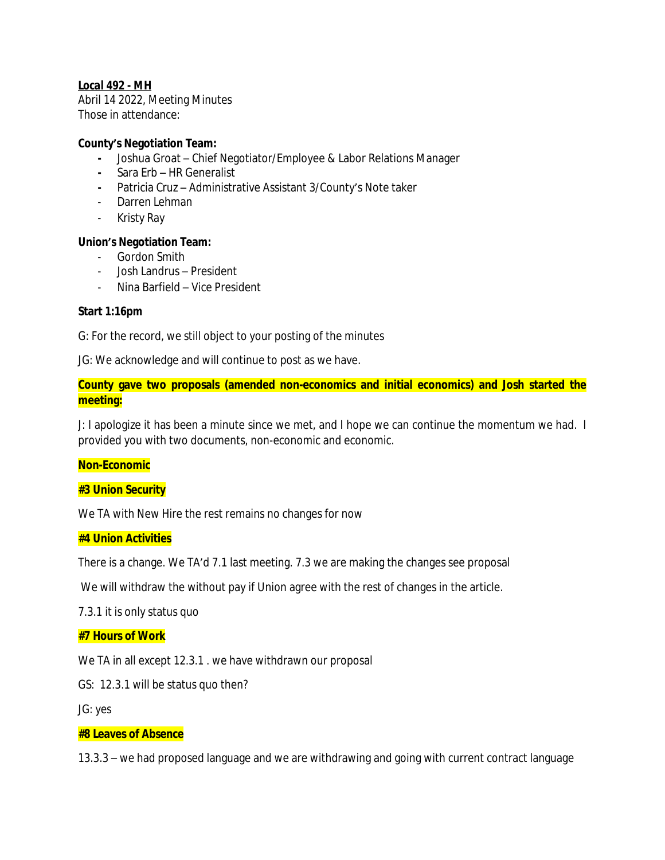# *Local 492 - MH*

Abril 14 2022, Meeting Minutes Those in attendance:

# **County's Negotiation Team:**

- **-** Joshua Groat Chief Negotiator/Employee & Labor Relations Manager
- **-** Sara Erb HR Generalist
- **-** Patricia Cruz Administrative Assistant 3/County's Note taker
- Darren Lehman
- Kristy Ray

# **Union's Negotiation Team:**

- Gordon Smith
- Josh Landrus President
- Nina Barfield Vice President

# **Start 1:16pm**

G: For the record, we still object to your posting of the minutes

JG: We acknowledge and will continue to post as we have.

**County gave two proposals (amended non-economics and initial economics) and Josh started the meeting:**

J: I apologize it has been a minute since we met, and I hope we can continue the momentum we had. I provided you with two documents, non-economic and economic.

#### **Non-Economic**

# **#3 Union Security**

We TA with New Hire the rest remains no changes for now

## **#4 Union Activities**

There is a change. We TA'd 7.1 last meeting. 7.3 we are making the changes see proposal

We will withdraw the without pay if Union agree with the rest of changes in the article.

7.3.1 it is only status quo

# **#7 Hours of Work**

We TA in all except 12.3.1 . we have withdrawn our proposal

GS: 12.3.1 will be status quo then?

JG: yes

#### **#8 Leaves of Absence**

13.3.3 – we had proposed language and we are withdrawing and going with current contract language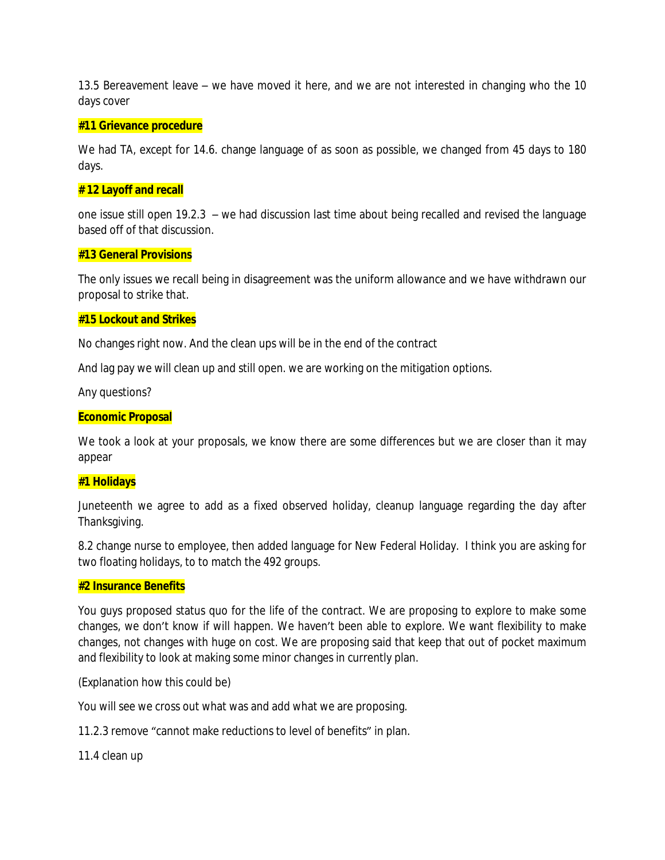13.5 Bereavement leave – we have moved it here, and we are not interested in changing who the 10 days cover

#### **#11 Grievance procedure**

We had TA, except for 14.6. change language of as soon as possible, we changed from 45 days to 180 days.

## **# 12 Layoff and recall**

one issue still open 19.2.3 – we had discussion last time about being recalled and revised the language based off of that discussion.

## **#13 General Provisions**

The only issues we recall being in disagreement was the uniform allowance and we have withdrawn our proposal to strike that.

## **#15 Lockout and Strikes**

No changes right now. And the clean ups will be in the end of the contract

And lag pay we will clean up and still open. we are working on the mitigation options.

Any questions?

## **Economic Proposal**

We took a look at your proposals, we know there are some differences but we are closer than it may appear

#### **#1 Holidays**

Juneteenth we agree to add as a fixed observed holiday, cleanup language regarding the day after Thanksgiving.

8.2 change nurse to employee, then added language for New Federal Holiday. I think you are asking for two floating holidays, to to match the 492 groups.

#### **#2 Insurance Benefits**

You guys proposed status quo for the life of the contract. We are proposing to explore to make some changes, we don't know if will happen. We haven't been able to explore. We want flexibility to make changes, not changes with huge on cost. We are proposing said that keep that out of pocket maximum and flexibility to look at making some minor changes in currently plan.

(Explanation how this could be)

You will see we cross out what was and add what we are proposing.

11.2.3 remove "cannot make reductions to level of benefits" in plan.

11.4 clean up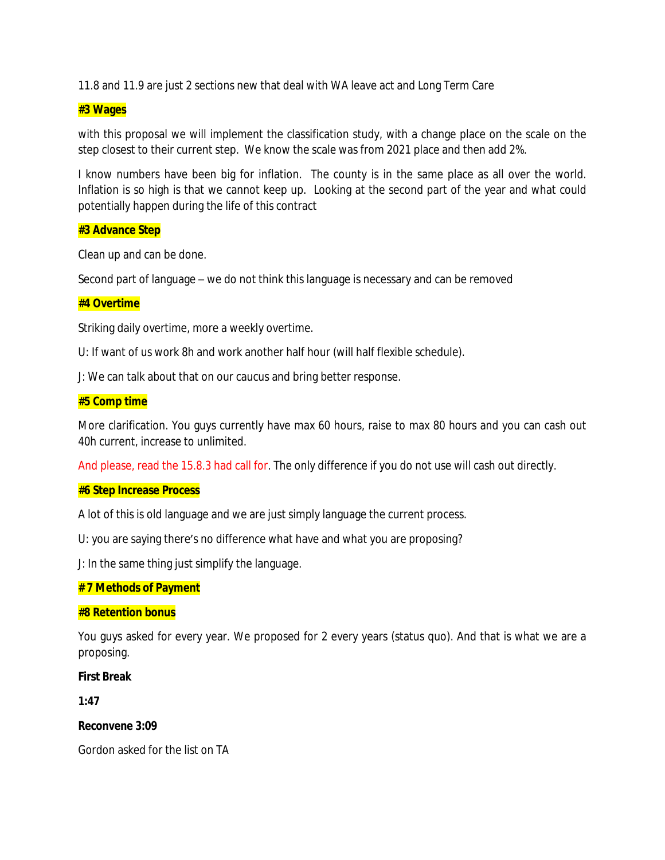11.8 and 11.9 are just 2 sections new that deal with WA leave act and Long Term Care

## **#3 Wages**

with this proposal we will implement the classification study, with a change place on the scale on the step closest to their current step. We know the scale was from 2021 place and then add 2%.

I know numbers have been big for inflation. The county is in the same place as all over the world. Inflation is so high is that we cannot keep up. Looking at the second part of the year and what could potentially happen during the life of this contract

#### **#3 Advance Step**

Clean up and can be done.

Second part of language – we do not think this language is necessary and can be removed

## **#4 Overtime**

Striking daily overtime, more a weekly overtime.

U: If want of us work 8h and work another half hour (will half flexible schedule).

J: We can talk about that on our caucus and bring better response.

#### **#5 Comp time**

More clarification. You guys currently have max 60 hours, raise to max 80 hours and you can cash out 40h current, increase to unlimited.

And please, read the 15.8.3 had call for. The only difference if you do not use will cash out directly.

## **#6 Step Increase Process**

A lot of this is old language and we are just simply language the current process.

U: you are saying there's no difference what have and what you are proposing?

J: In the same thing just simplify the language.

# **# 7 Methods of Payment**

#### **#8 Retention bonus**

You guys asked for every year. We proposed for 2 every years (status quo). And that is what we are a proposing.

#### **First Break**

**1:47**

#### **Reconvene 3:09**

Gordon asked for the list on TA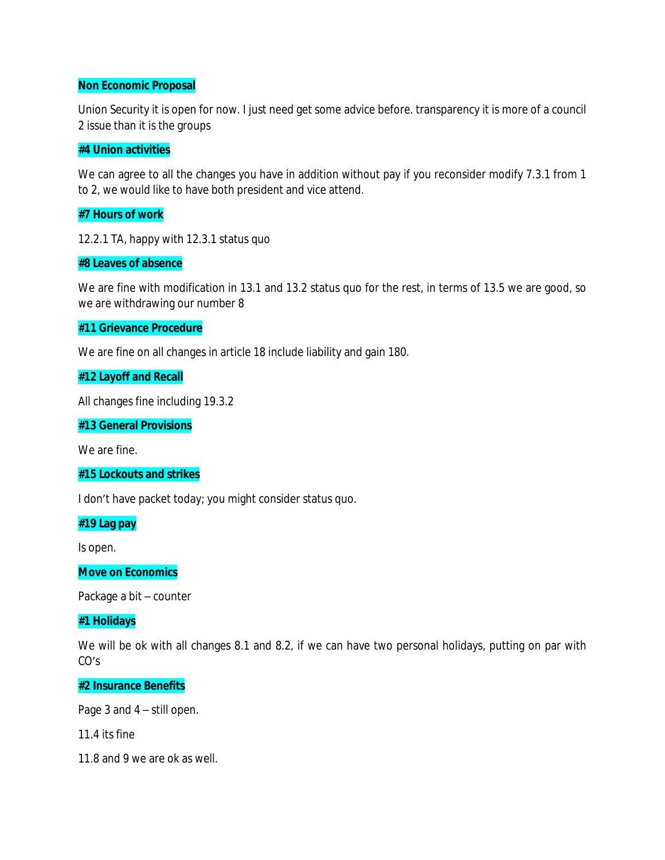## **Non Economic Proposal**

Union Security it is open for now. I just need get some advice before. transparency it is more of a council 2 issue than it is the groups

## **#4 Union activities**

We can agree to all the changes you have in addition without pay if you reconsider modify 7.3.1 from 1 to 2, we would like to have both president and vice attend.

## **#7 Hours of work**

12.2.1 TA, happy with 12.3.1 status quo

## **#8 Leaves of absence**

We are fine with modification in 13.1 and 13.2 status quo for the rest, in terms of 13.5 we are good, so we are withdrawing our number 8

## **#11 Grievance Procedure**

We are fine on all changes in article 18 include liability and gain 180.

# **#12 Layoff and Recall**

All changes fine including 19.3.2

## **#13 General Provisions**

We are fine.

## **#15 Lockouts and strikes**

I don't have packet today; you might consider status quo.

#### **#19 Lag pay**

Is open.

#### **Move on Economics**

Package a bit – counter

# **#1 Holidays**

We will be ok with all changes 8.1 and 8.2, if we can have two personal holidays, putting on par with CO's

#### **#2 Insurance Benefits**

Page 3 and 4 – still open.

11.4 its fine

11.8 and 9 we are ok as well.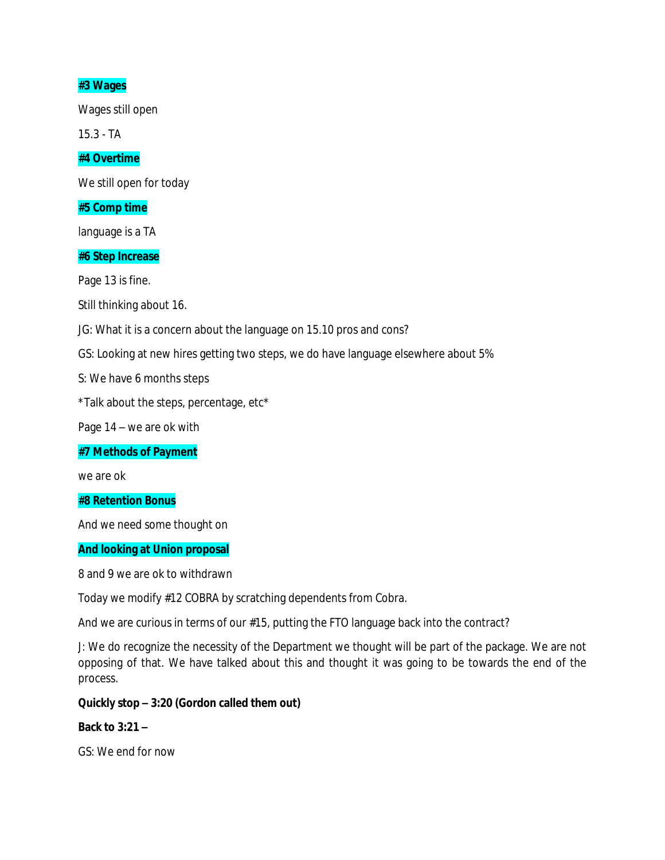# **#3 Wages**

Wages still open

15.3 - TA

# **#4 Overtime**

We still open for today

## **#5 Comp time**

language is a TA

## **#6 Step Increase**

Page 13 is fine.

Still thinking about 16.

JG: What it is a concern about the language on 15.10 pros and cons?

GS: Looking at new hires getting two steps, we do have language elsewhere about 5%

S: We have 6 months steps

\*Talk about the steps, percentage, etc\*

Page 14 – we are ok with

**#7 Methods of Payment**

we are ok

**#8 Retention Bonus**

And we need some thought on

# **And looking at Union proposal**

8 and 9 we are ok to withdrawn

Today we modify #12 COBRA by scratching dependents from Cobra.

And we are curious in terms of our #15, putting the FTO language back into the contract?

J: We do recognize the necessity of the Department we thought will be part of the package. We are not opposing of that. We have talked about this and thought it was going to be towards the end of the process.

# **Quickly stop – 3:20 (Gordon called them out)**

#### **Back to 3:21 –**

GS: We end for now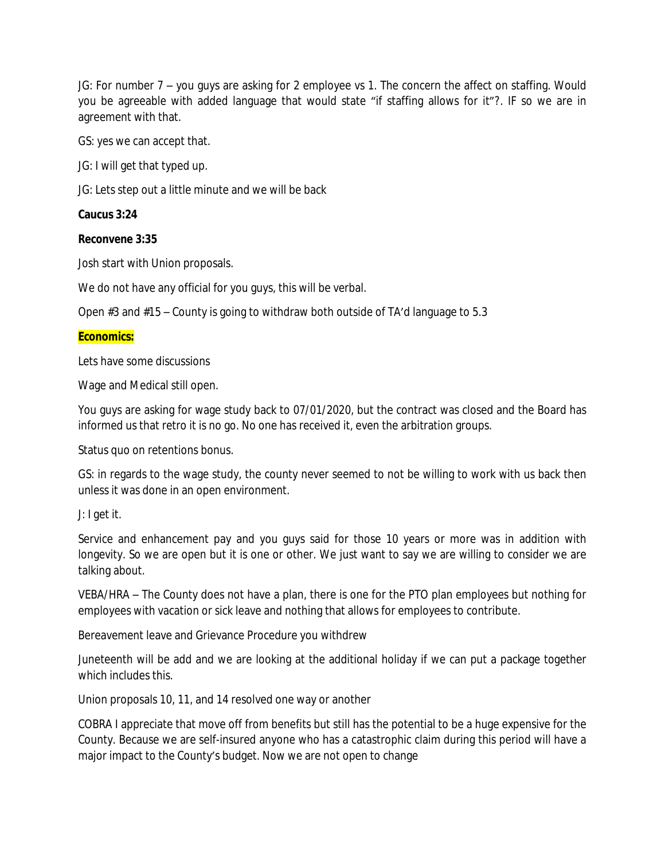JG: For number 7 – you guys are asking for 2 employee vs 1. The concern the affect on staffing. Would you be agreeable with added language that would state "if staffing allows for it"?. IF so we are in agreement with that.

GS: yes we can accept that.

JG: I will get that typed up.

JG: Lets step out a little minute and we will be back

# **Caucus 3:24**

# **Reconvene 3:35**

Josh start with Union proposals.

We do not have any official for you guys, this will be verbal.

Open #3 and #15 – County is going to withdraw both outside of TA'd language to 5.3

# **Economics:**

Lets have some discussions

Wage and Medical still open.

You guys are asking for wage study back to 07/01/2020, but the contract was closed and the Board has informed us that retro it is no go. No one has received it, even the arbitration groups.

Status quo on retentions bonus.

GS: in regards to the wage study, the county never seemed to not be willing to work with us back then unless it was done in an open environment.

J: I get it.

Service and enhancement pay and you guys said for those 10 years or more was in addition with longevity. So we are open but it is one or other. We just want to say we are willing to consider we are talking about.

VEBA/HRA – The County does not have a plan, there is one for the PTO plan employees but nothing for employees with vacation or sick leave and nothing that allows for employees to contribute.

Bereavement leave and Grievance Procedure you withdrew

Juneteenth will be add and we are looking at the additional holiday if we can put a package together which includes this.

Union proposals 10, 11, and 14 resolved one way or another

COBRA I appreciate that move off from benefits but still has the potential to be a huge expensive for the County. Because we are self-insured anyone who has a catastrophic claim during this period will have a major impact to the County's budget. Now we are not open to change